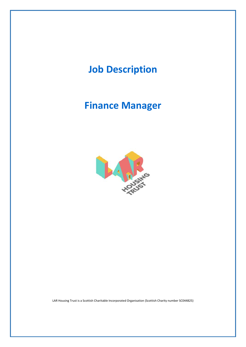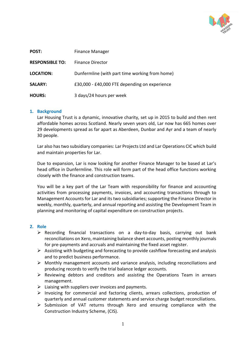

| POST:                  | <b>Finance Manager</b>                         |
|------------------------|------------------------------------------------|
| <b>RESPONSIBLE TO:</b> | <b>Finance Director</b>                        |
| <b>LOCATION:</b>       | Dunfermline (with part time working from home) |
| <b>SALARY:</b>         | £30,000 - £40,000 FTE depending on experience  |
| <b>HOURS:</b>          | 3 days/24 hours per week                       |

## **1. Background**

Lar Housing Trust is a dynamic, innovative charity, set up in 2015 to build and then rent affordable homes across Scotland. Nearly seven years old, Lar now has 665 homes over 29 developments spread as far apart as Aberdeen, Dunbar and Ayr and a team of nearly 30 people.

Lar also has two subsidiary companies: Lar Projects Ltd and Lar Operations CIC which build and maintain properties for Lar.

Due to expansion, Lar is now looking for another Finance Manager to be based at Lar's head office in Dunfermline. This role will form part of the head office functions working closely with the finance and construction teams.

You will be a key part of the Lar Team with responsibility for finance and accounting activities from processing payments, invoices, and accounting transactions through to Management Accounts for Lar and its two subsidiaries; supporting the Finance Director in weekly, monthly, quarterly, and annual reporting and assisting the Development Team in planning and monitoring of capital expenditure on construction projects.

## **2. Role**

- ➢ Recording financial transactions on a day-to-day basis, carrying out bank reconciliations on Xero, maintaining balance sheet accounts, posting monthly journals for pre-payments and accruals and maintaining the fixed asset register.
- $\triangleright$  Assisting with budgeting and forecasting to provide cashflow forecasting and analysis and to predict business performance.
- $\triangleright$  Monthly management accounts and variance analysis, including reconciliations and producing records to verify the trial balance ledger accounts.
- ➢ Reviewing debtors and creditors and assisting the Operations Team in arrears management.
- $\triangleright$  Liaising with suppliers over invoices and payments.
- ➢ Invoicing for commercial and factoring clients, arrears collections, production of quarterly and annual customer statements and service charge budget reconciliations.
- ➢ Submission of VAT returns through Xero and ensuring compliance with the Construction Industry Scheme, (CIS).